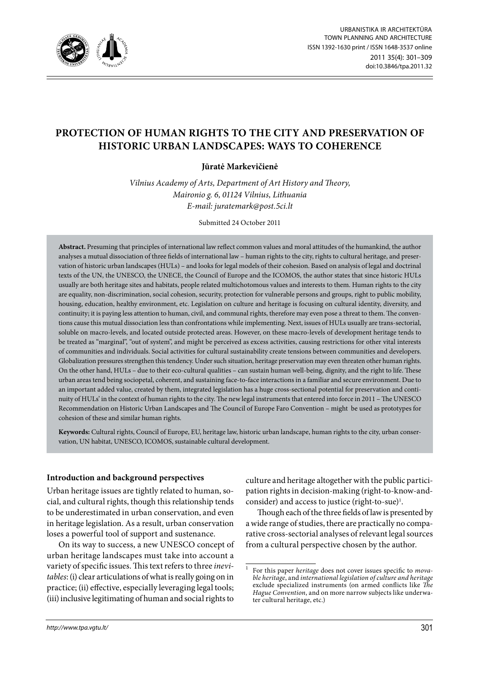

# **PROTECTION OF HUMAN RIGHTS TO THE CITY AND PRESERVATION OF HISTORIC URBAN LANDSCAPES: WAYS TO COHERENCE**

# **Jūratė Markevičienė**

*Vilnius Academy of Arts, Department of Art History and Theory, Maironio g. 6, 01124 Vilnius, Lithuania E-mail: juratemark@post.5ci.lt*

Submitted 24 October 2011

**Abstract.** Presuming that principles of international law reflect common values and moral attitudes of the humankind, the author analyses a mutual dissociation of three fields of international law – human rights to the city, rights to cultural heritage, and preservation of historic urban landscapes (HULs) – and looks for legal models of their cohesion. Based on analysis of legal and doctrinal texts of the UN, the UNESCO, the UNECE, the Council of Europe and the ICOMOS, the author states that since historic HULs usually are both heritage sites and habitats, people related multichotomous values and interests to them. Human rights to the city are equality, non-discrimination, social cohesion, security, protection for vulnerable persons and groups, right to public mobility, housing, education, healthy environment, etc. Legislation on culture and heritage is focusing on cultural identity, diversity, and continuity; it is paying less attention to human, civil, and communal rights, therefore may even pose a threat to them. The conventions cause this mutual dissociation less than confrontations while implementing. Next, issues of HULs usually are trans-sectorial, soluble on macro-levels, and located outside protected areas. However, on these macro-levels of development heritage tends to be treated as "marginal", "out of system", and might be perceived as excess activities, causing restrictions for other vital interests of communities and individuals. Social activities for cultural sustainability create tensions between communities and developers. Globalization pressures strengthen this tendency. Under such situation, heritage preservation may even threaten other human rights. On the other hand, HULs – due to their eco-cultural qualities – can sustain human well-being, dignity, and the right to life. These urban areas tend being sociopetal, coherent, and sustaining face-to-face interactions in a familiar and secure environment. Due to an important added value, created by them, integrated legislation has a huge cross-sectional potential for preservation and continuity of HULs' in the context of human rights to the city. The new legal instruments that entered into force in 2011 – The UNESCO Recommendation on Historic Urban Landscapes and The Council of Europe Faro Convention – might be used as prototypes for cohesion of these and similar human rights.

**Keywords:** Cultural rights, Council of Europe, EU, heritage law, historic urban landscape, human rights to the city, urban conservation, UN habitat, UNESCO, ICOMOS, sustainable cultural development.

# **Introduction and background perspectives**

Urban heritage issues are tightly related to human, social, and cultural rights, though this relationship tends to be underestimated in urban conservation, and even in heritage legislation. As a result, urban conservation loses a powerful tool of support and sustenance.

On its way to success, a new UNESCO concept of urban heritage landscapes must take into account a variety of specific issues. This text refers to three *inevitables*: (i) clear articulations of what is really going on in practice; (ii) effective, especially leveraging legal tools; (iii) inclusive legitimating of human and social rights to

culture and heritage altogether with the public participation rights in decision-making (right-to-know-andconsider) and access to justice (right-to-sue)<sup>1</sup>.

Though each of the three fields of law is presented by a wide range of studies, there are practically no comparative cross-sectorial analyses of relevant legal sources from a cultural perspective chosen by the author.

<sup>1</sup> For this paper *heritage* does not cover issues specific to *movable heritage*, and *international legislation of culture and heritage* exclude specialized instruments (on armed conflicts like *The Hague Convention*, and on more narrow subjects like underwater cultural heritage, etc.)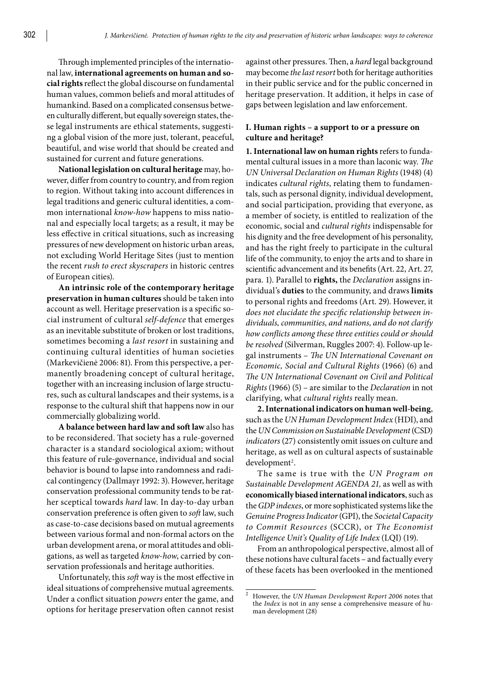Through implemented principles of the international law, **international agreements on human and social rights** reflect the global discourse on fundamental human values, common beliefs and moral attitudes of humankind. Based on a complicated consensus between culturally different, but equally sovereign states, these legal instruments are ethical statements, suggesting a global vision of the more just, tolerant, peaceful, beautiful, and wise world that should be created and sustained for current and future generations.

**National legislation on cultural heritage** may, however, differ from country to country, and from region to region. Without taking into account differences in legal traditions and generic cultural identities, a common international *know-how* happens to miss national and especially local targets; as a result, it may be less effective in critical situations, such as increasing pressures of new development on historic urban areas, not excluding World Heritage Sites (just to mention the recent *rush to erect skyscrapers* in historic centres of European cities).

**An intrinsic role of the contemporary heritage preservation in human cultures** should be taken into account as well. Heritage preservation is a specific social instrument of cultural *self-defence* that emerges as an inevitable substitute of broken or lost traditions, sometimes becoming a *last resort* in sustaining and continuing cultural identities of human societies (Markevičienė 2006: 81). From this perspective, a permanently broadening concept of cultural heritage, together with an increasing inclusion of large structures, such as cultural landscapes and their systems, is a response to the cultural shift that happens now in our commercially globalizing world.

**A balance between hard law and soft law** also has to be reconsidered. That society has a rule-governed character is a standard sociological axiom; without this feature of rule-governance, individual and social behavior is bound to lapse into randomness and radical contingency (Dallmayr 1992: 3). However, heritage conservation professional community tends to be rather sceptical towards *hard* law. In day-to-day urban conservation preference is often given to *soft* law, such as case-to-case decisions based on mutual agreements between various formal and non-formal actors on the urban development arena, or moral attitudes and obligations, as well as targeted *know-how*, carried by conservation professionals and heritage authorities.

Unfortunately, this *soft* way is the most effective in ideal situations of comprehensive mutual agreements. Under a conflict situation *powers* enter the game, and options for heritage preservation often cannot resist against other pressures. Then, a *hard* legal background may become *the last resort* both for heritage authorities in their public service and for the public concerned in heritage preservation. It addition, it helps in case of gaps between legislation and law enforcement.

# **I. Human rights – a support to or a pressure on culture and heritage?**

**1. International law on human rights** refers to fundamental cultural issues in a more than laconic way. *The UN Universal Declaration on Human Rights* (1948) (4) indicates *cultural rights*, relating them to fundamentals, such as personal dignity, individual development, and social participation, providing that everyone, as a member of society, is entitled to realization of the economic, social and *cultural rights* indispensable for his dignity and the free development of his personality, and has the right freely to participate in the cultural life of the community, to enjoy the arts and to share in scientific advancement and its benefits (Art. 22, Art. 27, para. 1). Parallel to **rights,** the *Declaration* assigns individual's **duties** to the community, and draws **limits** to personal rights and freedoms (Art. 29). However, it *does not elucidate the specific relationship between individuals, communities, and nations, and do not clarify how conflicts among these three entities could or should be resolved* (Silverman, Ruggles 2007: 4). Follow-up legal instruments – *The UN International Covenant on Economic, Social and Cultural Rights* (1966) (6) and *The UN International Covenant on Civil and Political Rights* (1966) (5) – are similar to the *Declaration* in not clarifying, what *cultural rights* really mean.

**2. International indicators on human well-being**, such as the *UN Human Development Index* (HDI), and the *UN Commission on Sustainable Development* (CSD) *indicators* (27) consistently omit issues on culture and heritage, as well as on cultural aspects of sustainable development<sup>2</sup>.

The same is true with the *UN Program on Sustainable Development AGENDA 21,* as well as with **economically biased international indicators**, such as the *GDP indexes*, or more sophisticated systems like the *Genuine Progress Indicator* (GPI), the *Societal Capacity to Commit Resources* (SCCR), or *The Economist Intelligence Unit's Quality of Life Index* (LQI) (19).

From an anthropological perspective, almost all of these notions have cultural facets – and factually every of these facets has been overlooked in the mentioned

<sup>2</sup> However, the *UN Human Development Report 2006* notes that the *Index* is not in any sense a comprehensive measure of human development (28)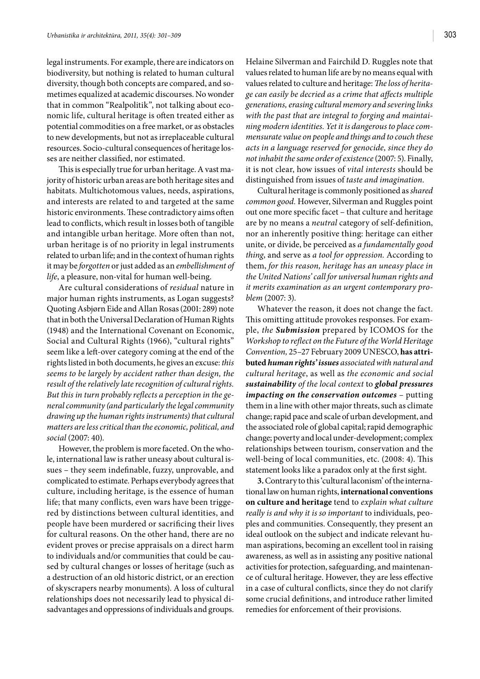legal instruments. For example, there are indicators on biodiversity, but nothing is related to human cultural diversity, though both concepts are compared, and sometimes equalized at academic discourses. No wonder that in common "Realpolitik", not talking about economic life, cultural heritage is often treated either as potential commodities on a free market, or as obstacles to new developments, but not as irreplaceable cultural resources. Socio-cultural consequences of heritage losses are neither classified, nor estimated.

This is especially true for urban heritage. A vast majority of historic urban areas are both heritage sites and habitats. Multichotomous values, needs, aspirations, and interests are related to and targeted at the same historic environments. These contradictory aims often lead to conflicts, which result in losses both of tangible and intangible urban heritage. More often than not, urban heritage is of no priority in legal instruments related to urban life; and in the context of human rights it may be *forgotten* or just added as an *embellishment of life*, a pleasure, non-vital for human well-being.

Are cultural considerations of *residual* nature in major human rights instruments, as Logan suggests? Quoting Asbjørn Eide and Allan Rosas (2001: 289) note that in both the Universal Declaration of Human Rights (1948) and the International Covenant on Economic, Social and Cultural Rights (1966), "cultural rights" seem like a left-over category coming at the end of the rights listed in both documents, he gives an excuse: *this seems to be largely by accident rather than design, the result of the relatively late recognition of cultural rights. But this in turn probably reflects a perception in the general community (and particularly the legal community drawing up the human rights instruments) that cultural matters are less critical than the economic, political, and social* (2007: 40).

However, the problem is more faceted. On the whole, international law is rather uneasy about cultural issues – they seem indefinable, fuzzy, unprovable, and complicated to estimate. Perhaps everybody agrees that culture, including heritage, is the essence of human life; that many conflicts, even wars have been triggered by distinctions between cultural identities, and people have been murdered or sacrificing their lives for cultural reasons. On the other hand, there are no evident proves or precise appraisals on a direct harm to individuals and/or communities that could be caused by cultural changes or losses of heritage (such as a destruction of an old historic district, or an erection of skyscrapers nearby monuments). A loss of cultural relationships does not necessarily lead to physical disadvantages and oppressions of individuals and groups.

Helaine Silverman and Fairchild D. Ruggles note that values related to human life are by no means equal with values related to culture and heritage: *The loss of heritage can easily be decried as a crime that affects multiple generations, erasing cultural memory and severing links with the past that are integral to forging and maintaining modern identities. Yet it is dangerous to place commensurate value on people and things and to couch these acts in a language reserved for genocide, since they do not inhabit the same order of existence* (2007: 5). Finally, it is not clear, how issues of *vital interests* should be distinguished from issues of *taste and imagination*.

Cultural heritage is commonly positioned as *shared common good.* However, Silverman and Ruggles point out one more specific facet – that culture and heritage are by no means a *neutral* category of self-definition, nor an inherently positive thing: heritage can either unite, or divide, be perceived as *a fundamentally good thing*, and serve as *a tool for oppression.* According to them, *for this reason, heritage has an uneasy place in the United Nations' call for universal human rights and it merits examination as an urgent contemporary problem* (2007: 3).

Whatever the reason, it does not change the fact. This omitting attitude provokes responses. For example, *the Submission* prepared by ICOMOS for the *Workshop to reflect on the Future of the World Heritage Convention,* 25–27 February 2009 UNESCO, **has attributed** *human rights' issues associated with natural and cultural heritage*, as well as *the economic and social sustainability of the local context* to *global pressures impacting on the conservation outcomes –* putting them in a line with other major threats, such as climate change; rapid pace and scale of urban development, and the associated role of global capital; rapid demographic change; poverty and local under-development; complex relationships between tourism, conservation and the well-being of local communities, etc. (2008: 4). This statement looks like a paradox only at the first sight.

**3.** Contrary to this 'cultural laconism' of the international law on human rights, **international conventions on culture and heritage** tend to *explain what culture really is and why it is so important* to individuals, peoples and communities. Consequently, they present an ideal outlook on the subject and indicate relevant human aspirations, becoming an excellent tool in raising awareness, as well as in assisting any positive national activities for protection, safeguarding, and maintenance of cultural heritage. However, they are less effective in a case of cultural conflicts, since they do not clarify some crucial definitions, and introduce rather limited remedies for enforcement of their provisions.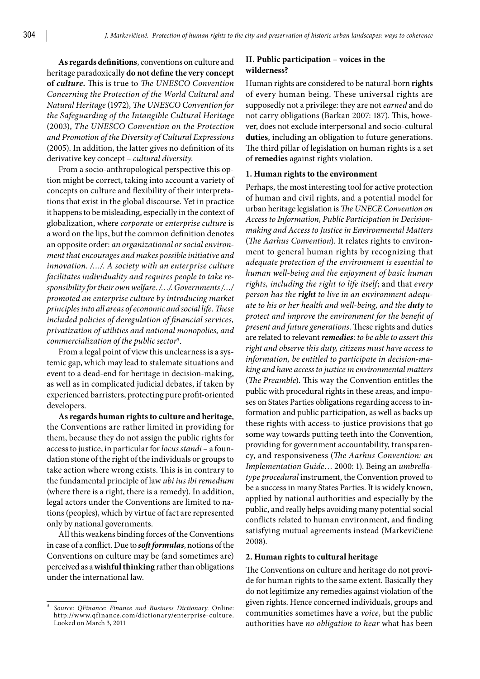**As regards definitions**, conventions on culture and heritage paradoxically **do not define the very concept of** *culture***.** This is true to *The UNESCO Convention Concerning the Protection of the World Cultural and Natural Heritage* (1972), *The UNESCO Convention for the Safeguarding of the Intangible Cultural Heritage* (2003), *The UNESCO Convention on the Protection and Promotion of the Diversity of Cultural Expressions* (2005). In addition, the latter gives no definition of its derivative key concept – *cultural diversity*.

From a socio-anthropological perspective this option might be correct, taking into account a variety of concepts on culture and flexibility of their interpretations that exist in the global discourse. Yet in practice it happens to be misleading, especially in the context of globalization, where *corporate* or *enterprise culture* is a word on the lips, but the common definition denotes an opposite order: *an organizational or social environment that encourages and makes possible initiative and innovation. /…/. A society with an enterprise culture facilitates individuality and requires people to take responsibility for their own welfare. /…/. Governments /…/ promoted an enterprise culture by introducing market principles into all areas of economic and social life. These included policies of deregulation of financial services, privatization of utilities and national monopolies, and commercialization of the public sector*<sup>3</sup> .

From a legal point of view this unclearness is a systemic gap, which may lead to stalemate situations and event to a dead-end for heritage in decision-making, as well as in complicated judicial debates, if taken by experienced barristers, protecting pure profit-oriented developers.

**As regards human rights to culture and heritage**, the Conventions are rather limited in providing for them, because they do not assign the public rights for access to justice, in particular for *locus standi* – a foundation stone of the right of the individuals or groups to take action where wrong exists. This is in contrary to the fundamental principle of law *ubi ius ibi remedium* (where there is a right, there is a remedy). In addition, legal actors under the Conventions are limited to nations (peoples), which by virtue of fact are represented only by national governments.

All this weakens binding forces of the Conventions in case of a conflict. Due to *soft formulas*, notions of the Conventions on culture may be (and sometimes are) perceived as a **wishful thinking** rather than obligations under the international law.

# **II. Public participation – voices in the wilderness?**

Human rights are considered to be natural-born **rights** of every human being. These universal rights are supposedly not a privilege: they are not *earned* and do not carry obligations (Barkan 2007: 187). This, however, does not exclude interpersonal and socio-cultural **duties**, including an obligation to future generations. The third pillar of legislation on human rights is a set of **remedies** against rights violation.

### **1. Human rights to the environment**

Perhaps, the most interesting tool for active protection of human and civil rights, and a potential model for urban heritage legislation is *The UNECE Convention on Access to Information, Public Participation in Decisionmaking and Access to Justice in Environmental Matters*  (*The Aarhus Convention*). It relates rights to environment to general human rights by recognizing that *adequate protection of the environment is essential to human well-being and the enjoyment of basic human rights, including the right to life itself*; and that *every person has the right to live in an environment adequate to his or her health and well-being, and the duty to protect and improve the environment for the benefit of present and future generations*. These rights and duties are related to relevant *remedies*: *to be able to assert this right and observe this duty, citizens must have access to information, be entitled to participate in decision-making and have access to justice in environmental matters* (*The Preamble*). This way the Convention entitles the public with procedural rights in these areas, and imposes on States Parties obligations regarding access to information and public participation, as well as backs up these rights with access-to-justice provisions that go some way towards putting teeth into the Convention, providing for government accountability, transparency, and responsiveness (*The Aarhus Convention: an Implementation Guide*… 2000: 1). Being an *umbrellatype procedural* instrument, the Convention proved to be a success in many States Parties. It is widely known, applied by national authorities and especially by the public, and really helps avoiding many potential social conflicts related to human environment, and finding satisfying mutual agreements instead (Markevičienė 2008).

### **2. Human rights to cultural heritage**

The Conventions on culture and heritage do not provide for human rights to the same extent. Basically they do not legitimize any remedies against violation of the given rights. Hence concerned individuals, groups and communities sometimes have a *voice*, but the public authorities have *no obligation to hear* what has been

<sup>3</sup> *Source*: *QFinance: Finance and Business Dictionary*. Online: http://www.qfinance.com/dictionary/enterprise-culture. Looked on March 3, 2011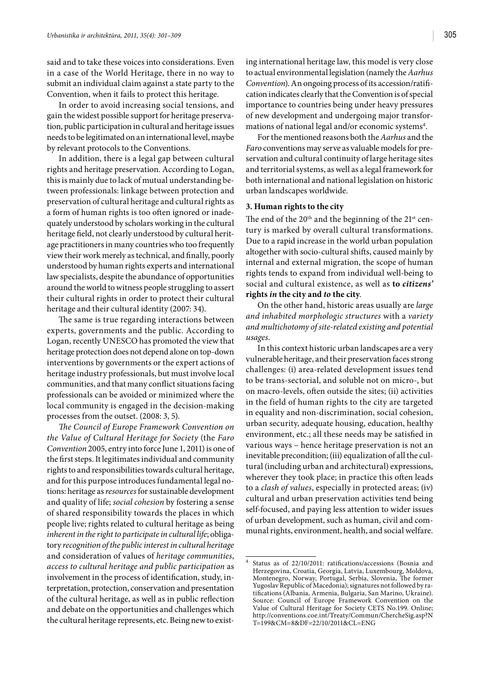said and to take these voices into considerations. Even in a case of the World Heritage, there in no way to submit an individual claim against a state party to the Convention, when it fails to protect this heritage.

In order to avoid increasing social tensions, and gain the widest possible support for heritage preservation, public participation in cultural and heritage issues needs to be legitimated on an international level, maybe by relevant protocols to the Conventions.

In addition, there is a legal gap between cultural rights and heritage preservation. According to Logan, this is mainly due to lack of mutual understanding between professionals: linkage between protection and preservation of cultural heritage and cultural rights as a form of human rights is too often ignored or inadequately understood by scholars working in the cultural heritage field, not clearly understood by cultural heritage practitioners in many countries who too frequently view their work merely as technical, and finally, poorly understood by human rights experts and international law specialists, despite the abundance of opportunities around the world to witness people struggling to assert their cultural rights in order to protect their cultural heritage and their cultural identity (2007: 34).

The same is true regarding interactions between experts, governments and the public. According to Logan, recently UNESCO has promoted the view that heritage protection does not depend alone on top-down interventions by governments or the expert actions of heritage industry professionals, but must involve local communities, and that many conflict situations facing professionals can be avoided or minimized where the local community is engaged in the decision-making processes from the outset. (2008: 3, 5).

*The Council of Europe Framework Convention on the Value of Cultural Heritage for Society* (the *Faro Convention* 2005, entry into force June 1, 2011) is one of the first steps. It legitimates individual and community rights to and responsibilities towards cultural heritage, and for this purpose introduces fundamental legal notions: heritage as *resources* for sustainable development and quality of life; *social cohesion* by fostering a sense of shared responsibility towards the places in which people live; rights related to cultural heritage as being *inherent in the right to participate in cultural life*; obligatory *recognition of the public interest in cultural heritage* and consideration of values of *heritage communities*, *access to cultural heritage and public participation* as involvement in the process of identification, study, interpretation, protection, conservation and presentation of the cultural heritage, as well as in public reflection and debate on the opportunities and challenges which the cultural heritage represents, etc. Being new to existing international heritage law, this model is very close to actual environmental legislation (namely the *Aarhus Convention*). An ongoing process of its accession/ratification indicates clearly that the Convention is of special importance to countries being under heavy pressures of new development and undergoing major transformations of national legal and/or economic systems<sup>4</sup> .

For the mentioned reasons both the *Aarhus* and the *Faro* conventions may serve as valuable models for preservation and cultural continuity of large heritage sites and territorial systems, as well as a legal framework for both international and national legislation on historic urban landscapes worldwide.

### **3. Human rights to the city**

The end of the 20<sup>th</sup> and the beginning of the 21<sup>st</sup> century is marked by overall cultural transformations. Due to a rapid increase in the world urban population altogether with socio-cultural shifts, caused mainly by internal and external migration, the scope of human rights tends to expand from individual well-being to social and cultural existence, as well as **to** *citizens'*  **rights** *in* **the city and** *to* **the city**.

On the other hand, historic areas usually are *large and inhabited morphologic structures* with a *variety and multichotomy of site-related existing and potential usages*.

In this context historic urban landscapes are a very vulnerable heritage, and their preservation faces strong challenges: (i) area-related development issues tend to be trans-sectorial, and soluble not on micro-, but on macro-levels, often outside the sites; (ii) activities in the field of human rights to the city are targeted in equality and non-discrimination, social cohesion, urban security, adequate housing, education, healthy environment, etc.; all these needs may be satisfied in various ways – hence heritage preservation is not an inevitable precondition; (iii) equalization of all the cultural (including urban and architectural) expressions, wherever they took place; in practice this often leads to a *clash of values*, especially in protected areas; (iv) cultural and urban preservation activities tend being self-focused, and paying less attention to wider issues of urban development, such as human, civil and communal rights, environment, health, and social welfare.

<sup>4</sup> Status as of 22/10/2011: ratifications/accessions (Bosnia and Herzegovina, Croatia, Georgia, Latvia, Luxembourg, Moldova, Montenegro, Norway, Portugal, Serbia, Slovenia, The former Yugoslav Republic of Macedonia); signatures not followed by ratifications (Albania, Armenia, Bulgaria, San Marino, Ukraine). Source: Council of Europe Framework Convention on the Value of Cultural Heritage for Society CETS No.199. Online; http://conventions.coe.int/Treaty/Commun/ChercheSig.asp?N T=199&CM=8&DF=22/10/2011&CL=ENG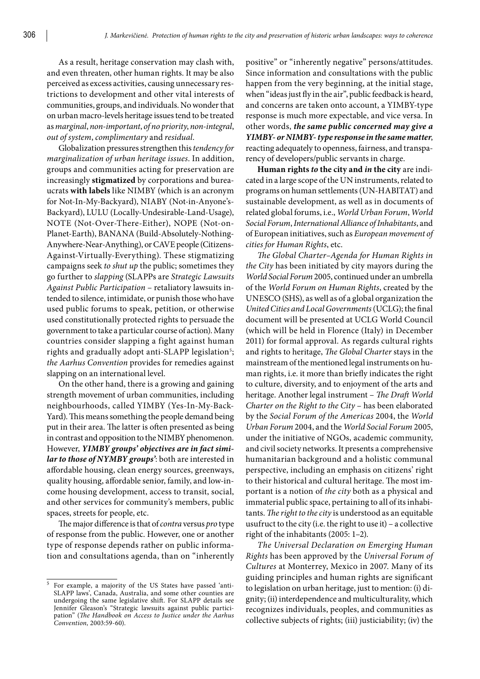As a result, heritage conservation may clash with, and even threaten, other human rights. It may be also perceived as excess activities, causing unnecessary restrictions to development and other vital interests of communities, groups, and individuals. No wonder that on urban macro-levels heritage issues tend to be treated as *marginal*, *non*-*important*, *of no priority*, *non-integral*, *out of system*, *complimentary* and *residual*.

Globalization pressures strengthen this *tendency for marginalization of urban heritage issues*. In addition, groups and communities acting for preservation are increasingly **stigmatized** by corporations and bureaucrats **with labels** like NIMBY (which is an acronym for Not-In-My-Backyard), NIABY (Not-in-Anyone's-Backyard), LULU (Locally-Undesirable-Land-Usage), NOTE (Not-Over-There-Either), NOPE (Not-on-Planet-Earth), BANANA (Build-Absolutely-Nothing-Anywhere-Near-Anything), or CAVE people (Citizens-Against-Virtually-Everything). These stigmatizing campaigns seek *to shut up* the public; sometimes they go further to *slapping* (SLAPPs are *Strategic Lawsuits Against Public Participation* – retaliatory lawsuits intended to silence, intimidate, or punish those who have used public forums to speak, petition, or otherwise used constitutionally protected rights to persuade the government to take a particular course of action). Many countries consider slapping a fight against human rights and gradually adopt anti-SLAPP legislation<sup>5</sup>; *the Aarhus Convention* provides for remedies against slapping on an international level.

On the other hand, there is a growing and gaining strength movement of urban communities, including neighbourhoods, called YIMBY (Yes-In-My-Back-Yard). This means something the people demand being put in their area. The latter is often presented as being in contrast and opposition to the NIMBY phenomenon. However, *YIMBY groups' objectives are in fact similar to those of NYMBY groups'*: both are interested in affordable housing, clean energy sources, greenways, quality housing, affordable senior, family, and low-income housing development, access to transit, social, and other services for community's members, public spaces, streets for people, etc.

The major difference is that of *contra* versus *pro* type of response from the public. However, one or another type of response depends rather on public information and consultations agenda, than on "inherently

positive" or "inherently negative" persons/attitudes. Since information and consultations with the public happen from the very beginning, at the initial stage, when "ideas just fly in the air", public feedback is heard, and concerns are taken onto account, a YIMBY-type response is much more expectable, and vice versa. In other words, *the same public concerned may give a YIMBY- or NIMBY- type response in the same matter*, reacting adequately to openness, fairness, and transparency of developers/public servants in charge.

**Human rights** *to* **the city and** *in* **the city** are indicated in a large scope of the UN instruments, related to programs on human settlements (UN-HABITAT) and sustainable development, as well as in documents of related global forums, i.e., *World Urban Forum*, *World Social Forum*, *International Alliance of Inhabitants*, and of European initiatives, such as *European movement of cities for Human Rights*, etc.

*The Global Charter–Agenda for Human Rights in the City* has been initiated by city mayors during the *World Social Forum* 2005, continued under an umbrella of the *World Forum on Human Rights*, created by the UNESCO (SHS), as well as of a global organization the *United Cities and Local Governments* (UCLG); the final document will be presented at UCLG World Council (which will be held in Florence (Italy) in December 2011) for formal approval. As regards cultural rights and rights to heritage, *The Global Charter* stays in the mainstream of the mentioned legal instruments on human rights, i.e. it more than briefly indicates the right to culture, diversity, and to enjoyment of the arts and heritage. Another legal instrument – *The Draft World Charter on the Right to the City* – has been elaborated by the *Social Forum of the Americas* 2004, the *World Urban Forum* 2004, and the *World Social Forum* 2005, under the initiative of NGOs, academic community, and civil society networks. It presents a comprehensive humanitarian background and a holistic communal perspective, including an emphasis on citizens' right to their historical and cultural heritage. The most important is a notion of *the city* both as a physical and immaterial public space, pertaining to all of its inhabitants. *The right to the city* is understood as an equitable usufruct to the city (i.e. the right to use it) – a collective right of the inhabitants (2005: 1–2).

*The Universal Declaration on Emerging Human Rights* has been approved by the *Universal Forum of Cultures* at Monterrey, Mexico in 2007. Many of its guiding principles and human rights are significant to legislation on urban heritage, just to mention: (i) dignity; (ii) interdependence and multiculturality, which recognizes individuals, peoples, and communities as collective subjects of rights; (iii) justiciability; (iv) the

<sup>5</sup> For example, a majority of the US States have passed 'anti-SLAPP laws', Canada, Australia, and some other counties are undergoing the same legislative shift. For SLAPP details see Jennifer Gleason's "Strategic lawsuits against public participation" (*The Handbook on Access to Justice under the Aarhus Convention,* 2003:59-60).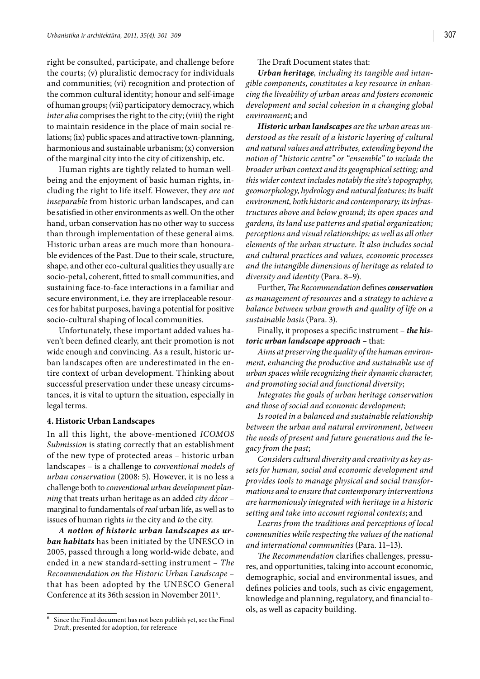right be consulted, participate, and challenge before the courts; (v) pluralistic democracy for individuals and communities; (vi) recognition and protection of the common cultural identity; honour and self-image of human groups; (vii) participatory democracy, which *inter alia* comprises the right to the city; (viii) the right to maintain residence in the place of main social relations; (ix) public spaces and attractive town-planning, harmonious and sustainable urbanism; (x) conversion of the marginal city into the city of citizenship, etc.

Human rights are tightly related to human wellbeing and the enjoyment of basic human rights, including the right to life itself. However, they *are not inseparable* from historic urban landscapes, and can be satisfied in other environments as well. On the other hand, urban conservation has no other way to success than through implementation of these general aims. Historic urban areas are much more than honourable evidences of the Past. Due to their scale, structure, shape, and other eco-cultural qualities they usually are socio-petal, coherent, fitted to small communities, and sustaining face-to-face interactions in a familiar and secure environment, i.e. they are irreplaceable resources for habitat purposes, having a potential for positive socio-cultural shaping of local communities.

Unfortunately, these important added values haven't been defined clearly, ant their promotion is not wide enough and convincing. As a result, historic urban landscapes often are underestimated in the entire context of urban development. Thinking about successful preservation under these uneasy circumstances, it is vital to upturn the situation, especially in legal terms.

#### **4. Historic Urban Landscapes**

In all this light, the above-mentioned *ICOMOS Submission* is stating correctly that an establishment of the new type of protected areas – historic urban landscapes – is a challenge to *conventional models of urban conservation* (2008: 5). However, it is no less a challenge both to *conventional urban development planning* that treats urban heritage as an added *city décor* – marginal to fundamentals of *real* urban life, as well as to issues of human rights *in* the city and *to* the city.

*A notion of historic urban landscapes as urban habitats* has been initiated by the UNESCO in 2005, passed through a long world-wide debate, and ended in a new standard-setting instrument – *The Recommendation on the Historic Urban Landscape* – that has been adopted by the UNESCO General Conference at its 36th session in November 2011<sup>6</sup>.

### The Draft Document states that:

*Urban heritage, including its tangible and intangible components, constitutes a key resource in enhancing the liveability of urban areas and fosters economic development and social cohesion in a changing global environment*; and

*Historic urban landscapes are the urban areas understood as the result of a historic layering of cultural and natural values and attributes, extending beyond the notion of "historic centre" or "ensemble" to include the broader urban context and its geographical setting; and this wider context includes notably the site's topography, geomorphology, hydrology and natural features; its built environment, both historic and contemporary; its infrastructures above and below ground; its open spaces and gardens, its land use patterns and spatial organization; perceptions and visual relationships; as well as all other elements of the urban structure. It also includes social and cultural practices and values, economic processes and the intangible dimensions of heritage as related to diversity and identity* (Para. 8–9).

Further, *The Recommendation* defines *conservation as management of resources* and *a strategy to achieve a balance between urban growth and quality of life on a sustainable basis* (Para. 3).

Finally, it proposes a specific instrument – *the historic urban landscape approach* – that:

*Aims at preserving the quality of the human environment, enhancing the productive and sustainable use of urban spaces while recognizing their dynamic character, and promoting social and functional diversity*;

*Integrates the goals of urban heritage conservation and those of social and economic development;*

*Is rooted in a balanced and sustainable relationship between the urban and natural environment, between the needs of present and future generations and the legacy from the past*;

*Considers cultural diversity and creativity as key assets for human, social and economic development and provides tools to manage physical and social transformations and to ensure that contemporary interventions are harmoniously integrated with heritage in a historic setting and take into account regional contexts*; and

*Learns from the traditions and perceptions of local communities while respecting the values of the national and international communities* (Para. 11–13).

*The Recommendation* clarifies challenges, pressures, and opportunities, taking into account economic, demographic, social and environmental issues, and defines policies and tools, such as civic engagement, knowledge and planning, regulatory, and financial tools, as well as capacity building.

<sup>6</sup> Since the Final document has not been publish yet, see the Final Draft, presented for adoption, for reference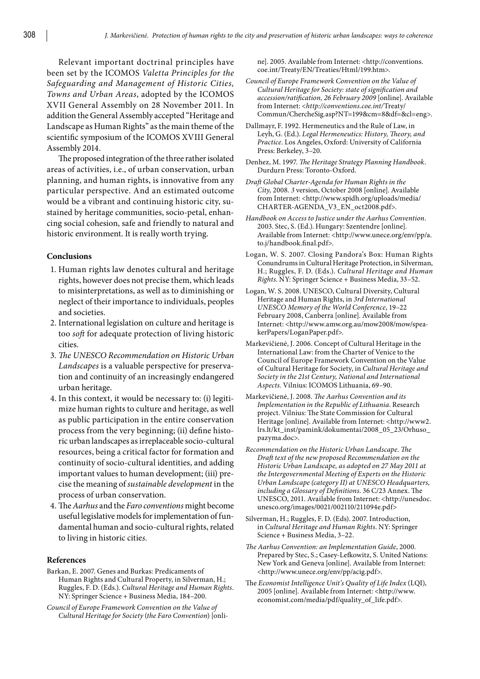Relevant important doctrinal principles have been set by the ICOMOS *Valetta Principles for the Safeguarding and Management of Historic Cities, Towns and Urban Areas*, adopted by the ICOMOS XVII General Assembly on 28 November 2011. In addition the General Assembly accepted "Heritage and Landscape as Human Rights" as the main theme of the scientific symposium of the ICOMOS XVIII General Assembly 2014.

The proposed integration of the three rather isolated areas of activities, i.e., of urban conservation, urban planning, and human rights, is innovative from any particular perspective. And an estimated outcome would be a vibrant and continuing historic city, sustained by heritage communities, socio-petal, enhancing social cohesion, safe and friendly to natural and historic environment. It is really worth trying.

## **Conclusions**

- 1. Human rights law denotes cultural and heritage rights, however does not precise them, which leads to misinterpretations, as well as to diminishing or neglect of their importance to individuals, peoples and societies.
- 2. International legislation on culture and heritage is too *soft* for adequate protection of living historic cities.
- 3. *The UNESCO Recommendation on Historic Urban Landscapes* is a valuable perspective for preservation and continuity of an increasingly endangered urban heritage.
- 4. In this context, it would be necessary to: (i) legitimize human rights to culture and heritage, as well as public participation in the entire conservation process from the very beginning; (ii) define historic urban landscapes as irreplaceable socio-cultural resources, being a critical factor for formation and continuity of socio-cultural identities, and adding important values to human development; (iii) precise the meaning of *sustainable development* in the process of urban conservation.
- 4. The *Aarhus* and the *Faro conventions* might become useful legislative models for implementation of fundamental human and socio-cultural rights, related to living in historic citie*s.*

#### **References**

- Barkan, E. 2007. Genes and Burkas: Predicaments of Human Rights and Cultural Property, in Silverman, H.; Ruggles, F. D. (Eds.). *Cultural Heritage and Human Rights*. NY: Springer Science + Business Media, 184–200.
- *Council of Europe Framework Convention on the Value of Cultural Heritage for Society* (*the Faro Convention*) [onli-

ne]. 2005. Available from Internet: <http://conventions. coe.int/Treaty/EN/Treaties/Html/199.htm>.

- *Council of Europe Framework Convention on the Value of Cultural Heritage for Society: state of signification and accession/ratification, 26 February 2009* [online]. Available from Internet: <*http://conventions.coe.int/*Treaty/ Commun/ChercheSig.asp?NT=199&cm=8&df=&cl=eng>.
- Dallmayr, F. 1992. Hermeneutics and the Rule of Law, in Leyh, G. (Ed.). *Legal Hermeneutics: History, Theory, and Practice*. Los Angeles, Oxford: University of California Press: Berkeley, 3–20.
- Denhez, M. 1997. *The Heritage Strategy Planning Handbook*. Durdurn Press: Toronto-Oxford.
- *Draft Global Charter-Agenda for Human Rights in the City,* 2008. *3* version, October 2008 [online]. Available from Internet: <http://www.spidh.org/uploads/media/ CHARTER-AGENDA\_V3\_EN\_oct2008.pdf>.
- *Handbook on Access to Justice under the Aarhus Convention*. 2003. Stec, S. (Ed.). Hungary: Szentendre [online]. Available from Internet: <http://www.unece.org/env/pp/a. to.j/handbook.final.pdf>.
- Logan, W. S. 2007. Closing Pandora's Box: Human Rights Conundrums in Cultural Heritage Protection, in Silverman, H.; Ruggles, F. D. (Eds.). *Cultural Heritage and Human Rights*. NY: Springer Science + Business Media, 33–52.
- Logan, W. S. 2008. UNESCO, Cultural Diversity, Cultural Heritage and Human Rights, in *3rd International UNESCO Memory of the World Conference*, 19–22 February 2008, Canberra [online]. Available from Internet: <http://www.amw.org.au/mow2008/mow/speakerPapers/LoganPaper.pdf>.
- Markevičienė, J. 2006. Concept of Cultural Heritage in the International Law: from the Charter of Venice to the Council of Europe Framework Convention on the Value of Cultural Heritage for Society, in *Cultural Heritage and Society in the 21st Century, National and International Aspects.* Vilnius: ICOMOS Lithuania, 69–90.
- Markevičienė, J. 2008. *The Aarhus Convention and its Implementation in the Republic of Lithuania*. Research project. Vilnius: The State Commission for Cultural Heritage [online]. Available from Internet: <http://www2. lrs.lt/kt\_inst/pamink/dokumentai/2008\_05\_23/Orhuso\_ pazyma.doc>.
- *Recommendation on the Historic Urban Landscape. The Draft text of the new proposed Recommendation on the Historic Urban Landscape, as adopted on 27 May 2011 at the Intergovernmental Meeting of Experts on the Historic Urban Landscape (category II) at UNESCO Headquarters, including a Glossary of Definitions*. 36 C/23 Annex. The UNESCO, 2011. Available from Internet: <http://unesdoc. unesco.org/images/0021/002110/211094e.pdf>
- Silverman, H.; Ruggles, F. D. (Eds). 2007. Introduction, in *Cultural Heritage and Human Rights*. NY: Springer Science + Business Media, 3–22.
- *The Aarhus Convention: an Implementation Guide*, 2000. Prepared by Stec, S.; Casey-Lefkowitz, S. United Nations: New York and Geneva [online]. Available from Internet: <http://www.unece.org/env/pp/acig.pdf>.
- The *Economist Intelligence Unit's Quality of Life Index* (LQI), 2005 [online]. Available from Internet: <http://www. economist.com/media/pdf/quality\_of\_life.pdf>.